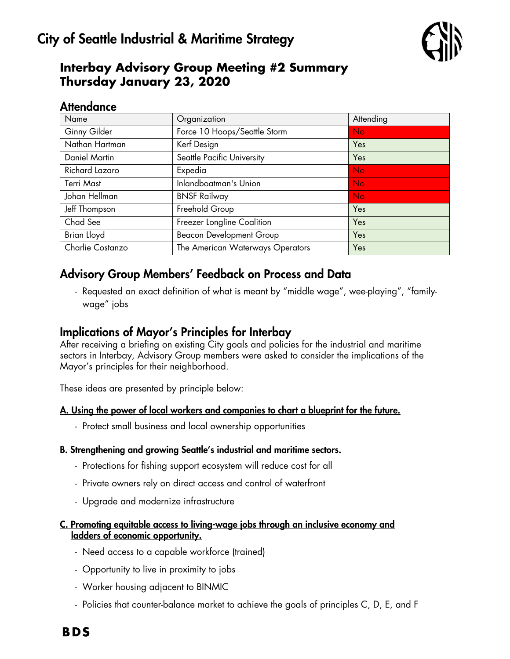

## **Interbay Advisory Group Meeting #2 Summary Thursday January 23, 2020**

### **Attendance**

| Organization                     | Attending |
|----------------------------------|-----------|
| Force 10 Hoops/Seattle Storm     | <b>No</b> |
| Kerf Design                      | Yes       |
| Seattle Pacific University       | Yes       |
| Expedia                          | <b>No</b> |
| Inlandboatman's Union            | <b>No</b> |
| <b>BNSF Railway</b>              | <b>No</b> |
| Freehold Group                   | Yes       |
| Freezer Longline Coalition       | Yes       |
| <b>Beacon Development Group</b>  | Yes       |
| The American Waterways Operators | Yes       |
|                                  |           |

## Advisory Group Members' Feedback on Process and Data

- Requested an exact definition of what is meant by "middle wage", wee-playing", "familywage" jobs

## Implications of Mayor's Principles for Interbay

After receiving a briefing on existing City goals and policies for the industrial and maritime sectors in Interbay, Advisory Group members were asked to consider the implications of the Mayor's principles for their neighborhood.

These ideas are presented by principle below:

#### A. Using the power of local workers and companies to chart a blueprint for the future.

- Protect small business and local ownership opportunities

#### B. Strengthening and growing Seattle's industrial and maritime sectors.

- Protections for fishing support ecosystem will reduce cost for all
- Private owners rely on direct access and control of waterfront
- Upgrade and modernize infrastructure

#### C. Promoting equitable access to living-wage jobs through an inclusive economy and ladders of economic opportunity.

- Need access to a capable workforce (trained)
- Opportunity to live in proximity to jobs
- Worker housing adjacent to BINMIC
- Policies that counter-balance market to achieve the goals of principles C, D, E, and F